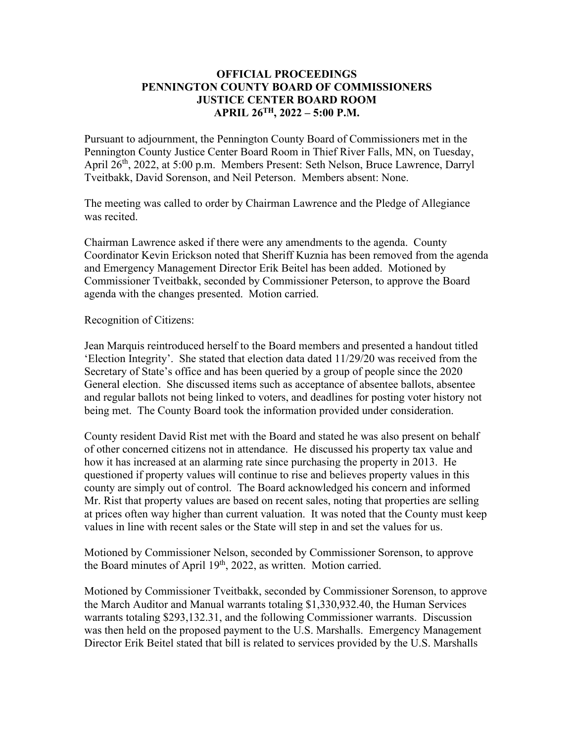## **OFFICIAL PROCEEDINGS PENNINGTON COUNTY BOARD OF COMMISSIONERS JUSTICE CENTER BOARD ROOM APRIL 26TH, 2022 – 5:00 P.M.**

Pursuant to adjournment, the Pennington County Board of Commissioners met in the Pennington County Justice Center Board Room in Thief River Falls, MN, on Tuesday, April 26<sup>th</sup>, 2022, at 5:00 p.m. Members Present: Seth Nelson, Bruce Lawrence, Darryl Tveitbakk, David Sorenson, and Neil Peterson. Members absent: None.

The meeting was called to order by Chairman Lawrence and the Pledge of Allegiance was recited.

Chairman Lawrence asked if there were any amendments to the agenda. County Coordinator Kevin Erickson noted that Sheriff Kuznia has been removed from the agenda and Emergency Management Director Erik Beitel has been added. Motioned by Commissioner Tveitbakk, seconded by Commissioner Peterson, to approve the Board agenda with the changes presented. Motion carried.

### Recognition of Citizens:

Jean Marquis reintroduced herself to the Board members and presented a handout titled 'Election Integrity'. She stated that election data dated 11/29/20 was received from the Secretary of State's office and has been queried by a group of people since the 2020 General election. She discussed items such as acceptance of absentee ballots, absentee and regular ballots not being linked to voters, and deadlines for posting voter history not being met. The County Board took the information provided under consideration.

County resident David Rist met with the Board and stated he was also present on behalf of other concerned citizens not in attendance. He discussed his property tax value and how it has increased at an alarming rate since purchasing the property in 2013. He questioned if property values will continue to rise and believes property values in this county are simply out of control. The Board acknowledged his concern and informed Mr. Rist that property values are based on recent sales, noting that properties are selling at prices often way higher than current valuation. It was noted that the County must keep values in line with recent sales or the State will step in and set the values for us.

Motioned by Commissioner Nelson, seconded by Commissioner Sorenson, to approve the Board minutes of April 19<sup>th</sup>, 2022, as written. Motion carried.

Motioned by Commissioner Tveitbakk, seconded by Commissioner Sorenson, to approve the March Auditor and Manual warrants totaling \$1,330,932.40, the Human Services warrants totaling \$293,132.31, and the following Commissioner warrants. Discussion was then held on the proposed payment to the U.S. Marshalls. Emergency Management Director Erik Beitel stated that bill is related to services provided by the U.S. Marshalls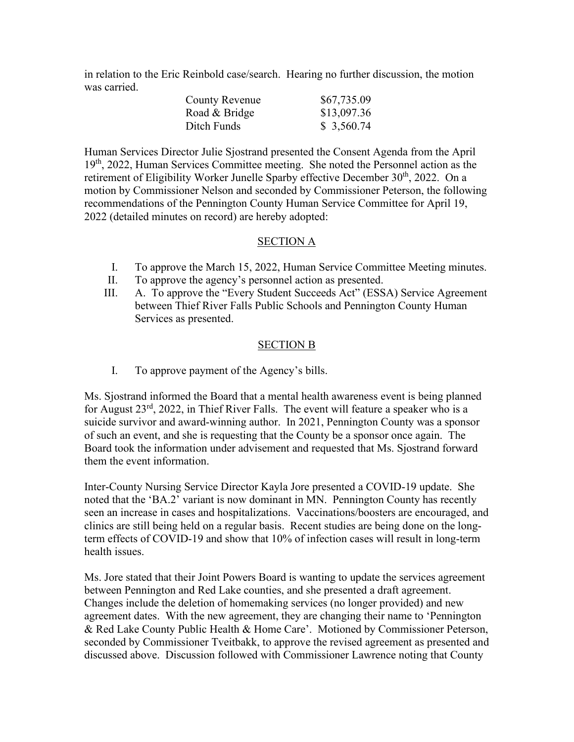in relation to the Eric Reinbold case/search. Hearing no further discussion, the motion was carried.

| <b>County Revenue</b> | \$67,735.09 |
|-----------------------|-------------|
| Road & Bridge         | \$13,097.36 |
| Ditch Funds           | \$3,560.74  |

Human Services Director Julie Sjostrand presented the Consent Agenda from the April 19th, 2022, Human Services Committee meeting. She noted the Personnel action as the retirement of Eligibility Worker Junelle Sparby effective December 30<sup>th</sup>, 2022. On a motion by Commissioner Nelson and seconded by Commissioner Peterson, the following recommendations of the Pennington County Human Service Committee for April 19, 2022 (detailed minutes on record) are hereby adopted:

## SECTION A

- I. To approve the March 15, 2022, Human Service Committee Meeting minutes.
- II. To approve the agency's personnel action as presented.
- III. A. To approve the "Every Student Succeeds Act" (ESSA) Service Agreement between Thief River Falls Public Schools and Pennington County Human Services as presented.

## SECTION B

I. To approve payment of the Agency's bills.

Ms. Sjostrand informed the Board that a mental health awareness event is being planned for August  $23^{rd}$ ,  $2022$ , in Thief River Falls. The event will feature a speaker who is a suicide survivor and award-winning author. In 2021, Pennington County was a sponsor of such an event, and she is requesting that the County be a sponsor once again. The Board took the information under advisement and requested that Ms. Sjostrand forward them the event information.

Inter-County Nursing Service Director Kayla Jore presented a COVID-19 update. She noted that the 'BA.2' variant is now dominant in MN. Pennington County has recently seen an increase in cases and hospitalizations. Vaccinations/boosters are encouraged, and clinics are still being held on a regular basis. Recent studies are being done on the longterm effects of COVID-19 and show that 10% of infection cases will result in long-term health issues.

Ms. Jore stated that their Joint Powers Board is wanting to update the services agreement between Pennington and Red Lake counties, and she presented a draft agreement. Changes include the deletion of homemaking services (no longer provided) and new agreement dates. With the new agreement, they are changing their name to 'Pennington & Red Lake County Public Health & Home Care'. Motioned by Commissioner Peterson, seconded by Commissioner Tveitbakk, to approve the revised agreement as presented and discussed above. Discussion followed with Commissioner Lawrence noting that County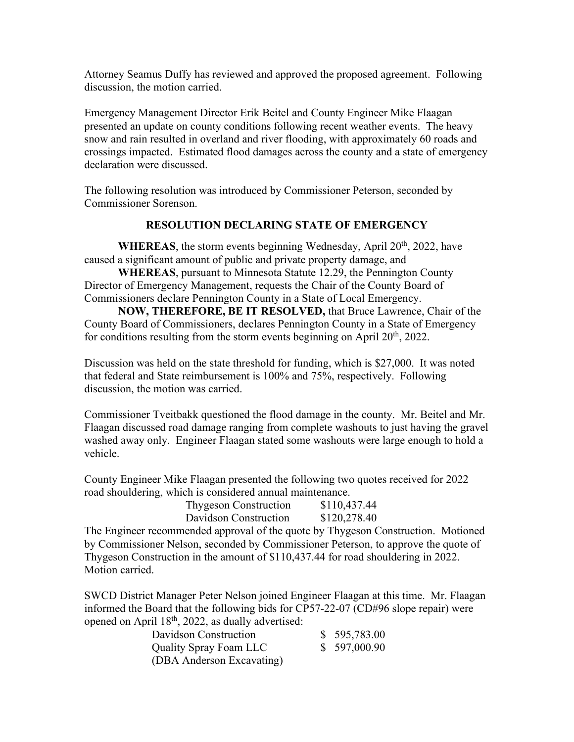Attorney Seamus Duffy has reviewed and approved the proposed agreement. Following discussion, the motion carried.

Emergency Management Director Erik Beitel and County Engineer Mike Flaagan presented an update on county conditions following recent weather events. The heavy snow and rain resulted in overland and river flooding, with approximately 60 roads and crossings impacted. Estimated flood damages across the county and a state of emergency declaration were discussed.

The following resolution was introduced by Commissioner Peterson, seconded by Commissioner Sorenson.

## **RESOLUTION DECLARING STATE OF EMERGENCY**

**WHEREAS**, the storm events beginning Wednesday, April 20<sup>th</sup>, 2022, have caused a significant amount of public and private property damage, and

**WHEREAS**, pursuant to Minnesota Statute 12.29, the Pennington County Director of Emergency Management, requests the Chair of the County Board of Commissioners declare Pennington County in a State of Local Emergency.

**NOW, THEREFORE, BE IT RESOLVED,** that Bruce Lawrence, Chair of the County Board of Commissioners, declares Pennington County in a State of Emergency for conditions resulting from the storm events beginning on April  $20<sup>th</sup>$ , 2022.

Discussion was held on the state threshold for funding, which is \$27,000. It was noted that federal and State reimbursement is 100% and 75%, respectively. Following discussion, the motion was carried.

Commissioner Tveitbakk questioned the flood damage in the county. Mr. Beitel and Mr. Flaagan discussed road damage ranging from complete washouts to just having the gravel washed away only. Engineer Flaagan stated some washouts were large enough to hold a vehicle.

County Engineer Mike Flaagan presented the following two quotes received for 2022 road shouldering, which is considered annual maintenance.

| <b>Thygeson Construction</b> | \$110,437.44 |
|------------------------------|--------------|
| Davidson Construction        | \$120,278.40 |

The Engineer recommended approval of the quote by Thygeson Construction. Motioned by Commissioner Nelson, seconded by Commissioner Peterson, to approve the quote of Thygeson Construction in the amount of \$110,437.44 for road shouldering in 2022. Motion carried.

SWCD District Manager Peter Nelson joined Engineer Flaagan at this time. Mr. Flaagan informed the Board that the following bids for CP57-22-07 (CD#96 slope repair) were opened on April  $18<sup>th</sup>$ , 2022, as dually advertised:

| Davidson Construction         | \$595,783.00 |
|-------------------------------|--------------|
| <b>Quality Spray Foam LLC</b> | \$597,000.90 |
| (DBA Anderson Excavating)     |              |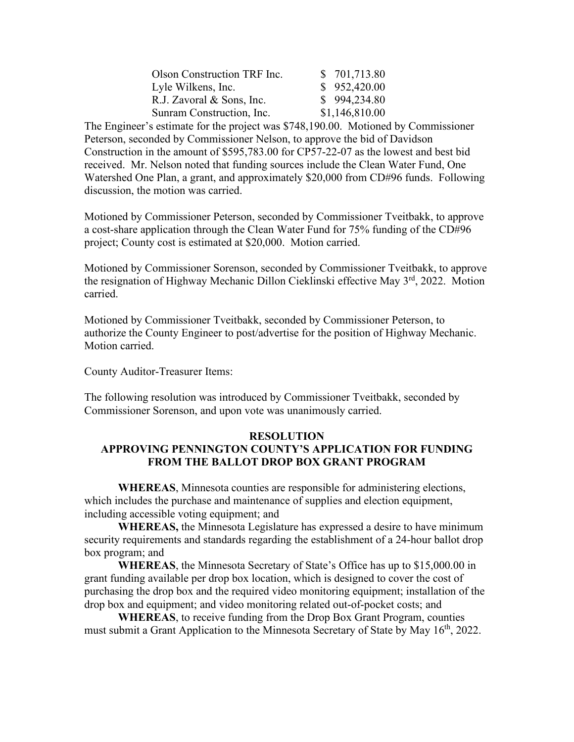| Olson Construction TRF Inc. | \$701,713.80   |
|-----------------------------|----------------|
| Lyle Wilkens, Inc.          | \$952,420.00   |
| R.J. Zavoral & Sons, Inc.   | \$994,234.80   |
| Sunram Construction, Inc.   | \$1,146,810.00 |

The Engineer's estimate for the project was \$748,190.00. Motioned by Commissioner Peterson, seconded by Commissioner Nelson, to approve the bid of Davidson Construction in the amount of \$595,783.00 for CP57-22-07 as the lowest and best bid received. Mr. Nelson noted that funding sources include the Clean Water Fund, One Watershed One Plan, a grant, and approximately \$20,000 from CD#96 funds. Following discussion, the motion was carried.

Motioned by Commissioner Peterson, seconded by Commissioner Tveitbakk, to approve a cost-share application through the Clean Water Fund for 75% funding of the CD#96 project; County cost is estimated at \$20,000. Motion carried.

Motioned by Commissioner Sorenson, seconded by Commissioner Tveitbakk, to approve the resignation of Highway Mechanic Dillon Cieklinski effective May 3<sup>rd</sup>, 2022. Motion carried.

Motioned by Commissioner Tveitbakk, seconded by Commissioner Peterson, to authorize the County Engineer to post/advertise for the position of Highway Mechanic. Motion carried.

County Auditor-Treasurer Items:

The following resolution was introduced by Commissioner Tveitbakk, seconded by Commissioner Sorenson, and upon vote was unanimously carried.

### **RESOLUTION**

# **APPROVING PENNINGTON COUNTY'S APPLICATION FOR FUNDING FROM THE BALLOT DROP BOX GRANT PROGRAM**

**WHEREAS**, Minnesota counties are responsible for administering elections, which includes the purchase and maintenance of supplies and election equipment, including accessible voting equipment; and

**WHEREAS,** the Minnesota Legislature has expressed a desire to have minimum security requirements and standards regarding the establishment of a 24-hour ballot drop box program; and

**WHEREAS**, the Minnesota Secretary of State's Office has up to \$15,000.00 in grant funding available per drop box location, which is designed to cover the cost of purchasing the drop box and the required video monitoring equipment; installation of the drop box and equipment; and video monitoring related out-of-pocket costs; and

**WHEREAS**, to receive funding from the Drop Box Grant Program, counties must submit a Grant Application to the Minnesota Secretary of State by May 16<sup>th</sup>, 2022.